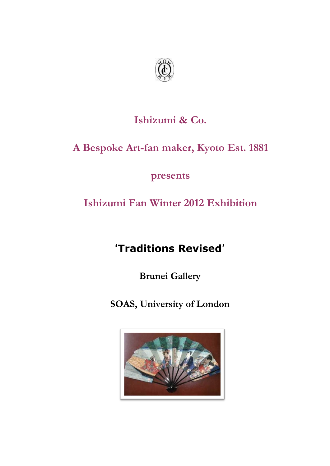

## **Ishizumi & Co.**

## **A Bespoke Art-fan maker, Kyoto Est. 1881**

**presents**

## **Ishizumi Fan Winter 2012 Exhibition**

# '**Traditions Revised**'

**Brunei Gallery**

**SOAS, University of London**

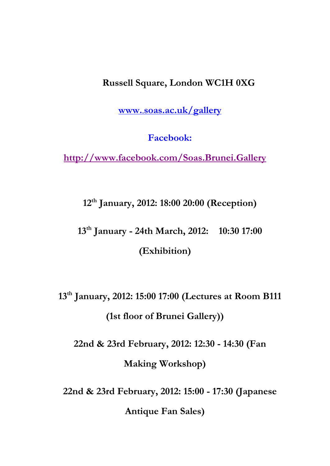#### **Russell Square, London WC1H 0XG**

**www.**.**[soas.ac.uk/gallery](http://www..soas.ac.uk/gallery)**

**Facebook:** 

**<http://www.facebook.com/Soas.Brunei.Gallery>**

**12th January, 2012: 18:00 20:00 (Reception)**

**13th January - 24th March, 2012: 10:30 17:00 (Exhibition)**

**13th January, 2012: 15:00 17:00 (Lectures at Room B111 (1st floor of Brunei Gallery))**

**22nd & 23rd February, 2012: 12:30 - 14:30 (Fan Making Workshop)**

**22nd & 23rd February, 2012: 15:00 - 17:30 (Japanese Antique Fan Sales)**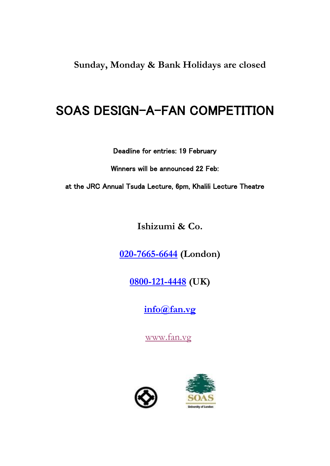**Sunday, Monday & Bank Holidays are closed**

# SOAS DESIGN-A-FAN COMPETITION

Deadline for entries: 19 February

Winners will be announced 22 Feb:

at the JRC Annual Tsuda Lecture, 6pm, Khalili Lecture Theatre

**Ishizumi & Co.**

**[020-7665-6644](tel:020-7665-6644) (London)**

**[0800-121-4448](tel:0800-121-4448) (UK)**

**[info@fan.vg](mailto:info@fan.vg)**

[www.fan.vg](http://www.fan.vg/)



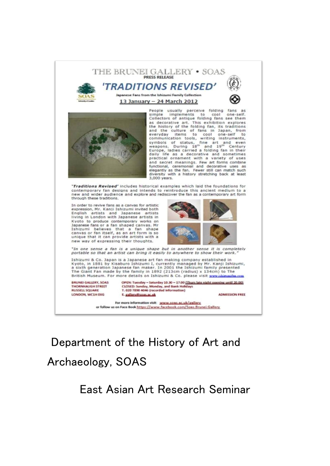

Department of the History of Art and Archaeology, SOAS

East Asian Art Research Seminar